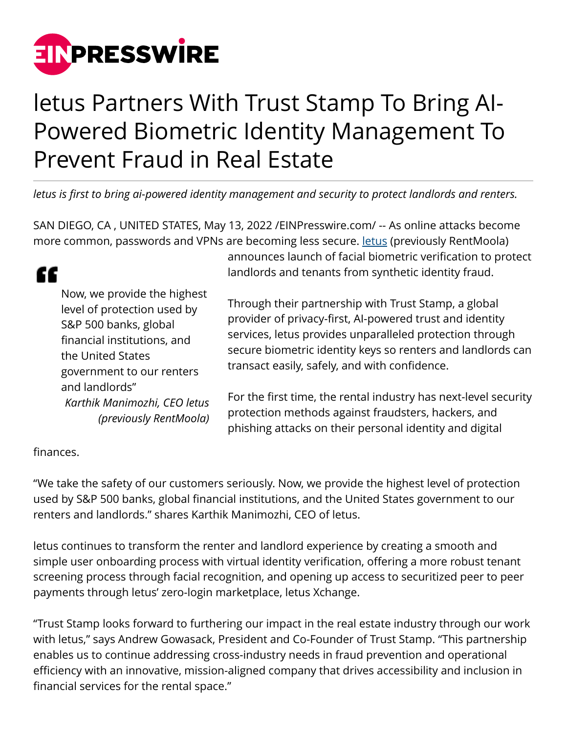

## letus Partners With Trust Stamp To Bring AI-Powered Biometric Identity Management To Prevent Fraud in Real Estate

*letus is first to bring ai-powered identity management and security to protect landlords and renters.*

SAN DIEGO, CA , UNITED STATES, May 13, 2022 /[EINPresswire.com/](http://www.einpresswire.com) -- As online attacks become more common, passwords and VPNs are becoming less secure. <u>letus</u> (previously RentMoola)

## Now, we provide the highest level of protection used by S&P 500 banks, global financial institutions, and the United States government to our renters and landlords" *Karthik Manimozhi, CEO letus (previously RentMoola)*

announces launch of facial biometric verification to protect landlords and tenants from synthetic identity fraud.

Through their partnership with Trust Stamp, a global provider of privacy-first, AI-powered trust and identity services, letus provides unparalleled protection through secure biometric identity keys so renters and landlords can transact easily, safely, and with confidence.

For the first time, the rental industry has next-level security protection methods against fraudsters, hackers, and phishing attacks on their personal identity and digital

## finances.

"

"We take the safety of our customers seriously. Now, we provide the highest level of protection used by S&P 500 banks, global financial institutions, and the United States government to our renters and landlords." shares Karthik Manimozhi, CEO of letus.

letus continues to transform the renter and landlord experience by creating a smooth and simple user onboarding process with virtual identity verification, offering a more robust tenant screening process through facial recognition, and opening up access to securitized peer to peer payments through letus' zero-login marketplace, letus Xchange.

"Trust Stamp looks forward to furthering our impact in the real estate industry through our work with letus," says Andrew Gowasack, President and Co-Founder of Trust Stamp. "This partnership enables us to continue addressing cross-industry needs in fraud prevention and operational efficiency with an innovative, mission-aligned company that drives accessibility and inclusion in financial services for the rental space."